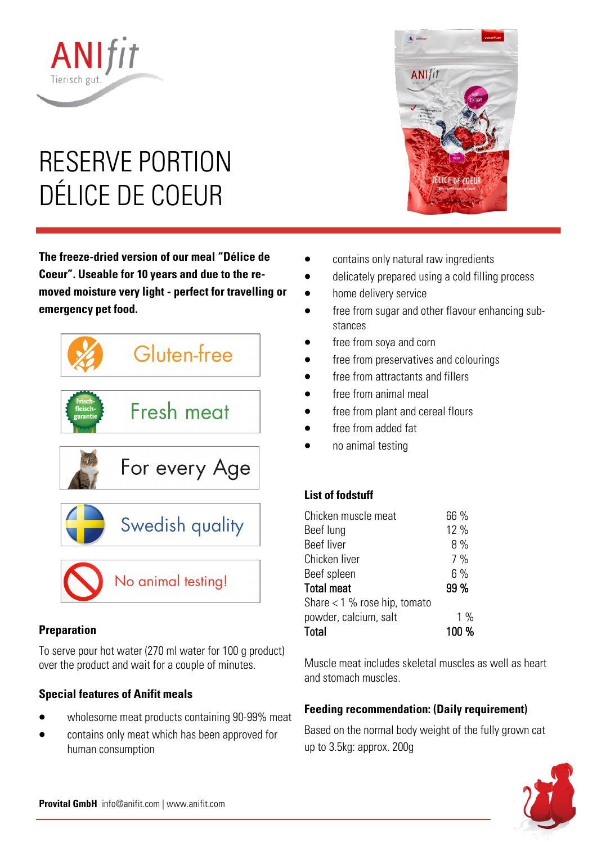# RESERVE PORTION DÉLICE DE COEUR

**ANIfit** 

**The freeze-dried version of our meal "Délice de Coeur". Useable for 10 years and due to the removed moisture very light - perfect for travelling or emergency pet food.** 



### **Preparation**

To serve pour hot water (270 ml water for 100 g product) over the product and wait for a couple of minutes.

### **Special features of Anifit meals**

- wholesome meat products containing 90-99% meat
- contains only meat which has been approved for human consumption



- contains only natural raw ingredients
- delicately prepared using a cold filling process
- home delivery service
- free from sugar and other flavour enhancing substances
- free from soya and corn
- free from preservatives and colourings
- free from attractants and fillers
- free from animal meal
- free from plant and cereal flours
- free from added fat
- no animal testing

## **List of fodstuff**

| 66 %  |
|-------|
| 12 %  |
| 8%    |
| 7%    |
| 6%    |
| 99 %  |
|       |
| $1\%$ |
| 100 % |
|       |

Muscle meat includes skeletal muscles as well as heart and stomach muscles.

## **Feeding recommendation: (Daily requirement)**

Based on the normal body weight of the fully grown cat up to 3.5kg: approx. 200g